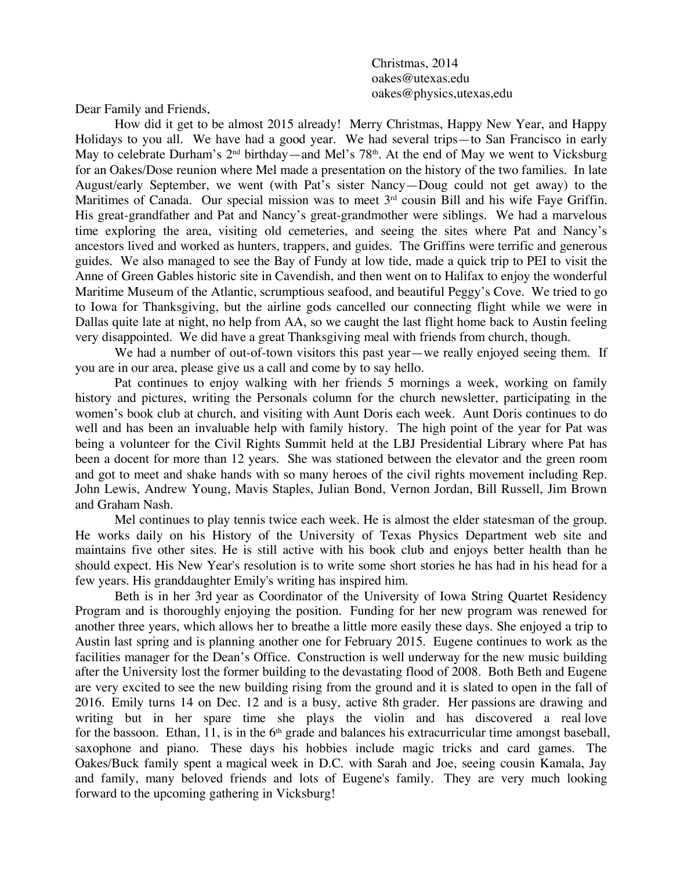Christmas, 2014 oakes@utexas.edu oakes@physics,utexas,edu

Dear Family and Friends,

How did it get to be almost 2015 already! Merry Christmas, Happy New Year, and Happy Holidays to you all. We have had a good year. We had several trips—to San Francisco in early May to celebrate Durham's  $2<sup>nd</sup>$  birthday—and Mel's 78<sup>th</sup>. At the end of May we went to Vicksburg for an Oakes/Dose reunion where Mel made a presentation on the history of the two families. In late August/early September, we went (with Pat's sister Nancy—Doug could not get away) to the Maritimes of Canada. Our special mission was to meet  $3<sup>rd</sup>$  cousin Bill and his wife Faye Griffin. His great-grandfather and Pat and Nancy's great-grandmother were siblings. We had a marvelous time exploring the area, visiting old cemeteries, and seeing the sites where Pat and Nancy's ancestors lived and worked as hunters, trappers, and guides. The Griffins were terrific and generous guides. We also managed to see the Bay of Fundy at low tide, made a quick trip to PEI to visit the Anne of Green Gables historic site in Cavendish, and then went on to Halifax to enjoy the wonderful Maritime Museum of the Atlantic, scrumptious seafood, and beautiful Peggy's Cove. We tried to go to Iowa for Thanksgiving, but the airline gods cancelled our connecting flight while we were in Dallas quite late at night, no help from AA, so we caught the last flight home back to Austin feeling very disappointed. We did have a great Thanksgiving meal with friends from church, though.

We had a number of out-of-town visitors this past year—we really enjoyed seeing them. If you are in our area, please give us a call and come by to say hello.

Pat continues to enjoy walking with her friends 5 mornings a week, working on family history and pictures, writing the Personals column for the church newsletter, participating in the women's book club at church, and visiting with Aunt Doris each week. Aunt Doris continues to do well and has been an invaluable help with family history. The high point of the year for Pat was being a volunteer for the Civil Rights Summit held at the LBJ Presidential Library where Pat has been a docent for more than 12 years. She was stationed between the elevator and the green room and got to meet and shake hands with so many heroes of the civil rights movement including Rep. John Lewis, Andrew Young, Mavis Staples, Julian Bond, Vernon Jordan, Bill Russell, Jim Brown and Graham Nash.

Mel continues to play tennis twice each week. He is almost the elder statesman of the group. He works daily on his History of the University of Texas Physics Department web site and maintains five other sites. He is still active with his book club and enjoys better health than he should expect. His New Year's resolution is to write some short stories he has had in his head for a few years. His granddaughter Emily's writing has inspired him.

Beth is in her 3rd year as Coordinator of the University of Iowa String Quartet Residency Program and is thoroughly enjoying the position. Funding for her new program was renewed for another three years, which allows her to breathe a little more easily these days. She enjoyed a trip to Austin last spring and is planning another one for February 2015. Eugene continues to work as the facilities manager for the Dean's Office. Construction is well underway for the new music building after the University lost the former building to the devastating flood of 2008. Both Beth and Eugene are very excited to see the new building rising from the ground and it is slated to open in the fall of 2016. Emily turns 14 on Dec. 12 and is a busy, active 8th grader. Her passions are drawing and writing but in her spare time she plays the violin and has discovered a real love for the bassoon. Ethan, 11, is in the  $6<sup>th</sup>$  grade and balances his extracurricular time amongst baseball, saxophone and piano. These days his hobbies include magic tricks and card games. The Oakes/Buck family spent a magical week in D.C. with Sarah and Joe, seeing cousin Kamala, Jay and family, many beloved friends and lots of Eugene's family. They are very much looking forward to the upcoming gathering in Vicksburg!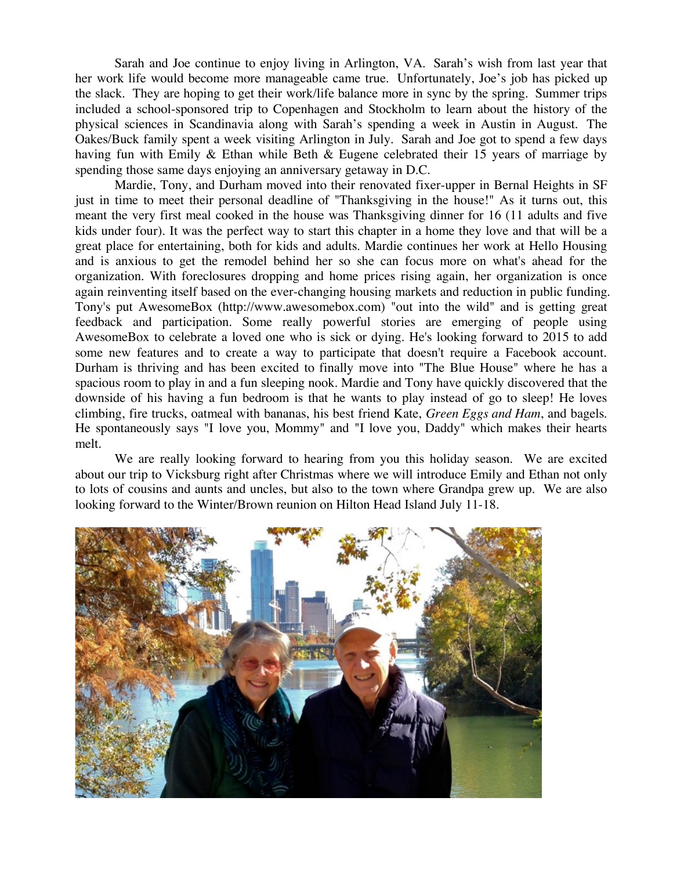Sarah and Joe continue to enjoy living in Arlington, VA. Sarah's wish from last year that her work life would become more manageable came true. Unfortunately, Joe's job has picked up the slack. They are hoping to get their work/life balance more in sync by the spring. Summer trips included a school-sponsored trip to Copenhagen and Stockholm to learn about the history of the physical sciences in Scandinavia along with Sarah's spending a week in Austin in August. The Oakes/Buck family spent a week visiting Arlington in July. Sarah and Joe got to spend a few days having fun with Emily & Ethan while Beth & Eugene celebrated their 15 years of marriage by spending those same days enjoying an anniversary getaway in D.C.

Mardie, Tony, and Durham moved into their renovated fixer-upper in Bernal Heights in SF just in time to meet their personal deadline of "Thanksgiving in the house!" As it turns out, this meant the very first meal cooked in the house was Thanksgiving dinner for 16 (11 adults and five kids under four). It was the perfect way to start this chapter in a home they love and that will be a great place for entertaining, both for kids and adults. Mardie continues her work at Hello Housing and is anxious to get the remodel behind her so she can focus more on what's ahead for the organization. With foreclosures dropping and home prices rising again, her organization is once again reinventing itself based on the ever-changing housing markets and reduction in public funding. Tony's put AwesomeBox (http://www.awesomebox.com) "out into the wild" and is getting great feedback and participation. Some really powerful stories are emerging of people using AwesomeBox to celebrate a loved one who is sick or dying. He's looking forward to 2015 to add some new features and to create a way to participate that doesn't require a Facebook account. Durham is thriving and has been excited to finally move into "The Blue House" where he has a spacious room to play in and a fun sleeping nook. Mardie and Tony have quickly discovered that the downside of his having a fun bedroom is that he wants to play instead of go to sleep! He loves climbing, fire trucks, oatmeal with bananas, his best friend Kate, *Green Eggs and Ham*, and bagels. He spontaneously says "I love you, Mommy" and "I love you, Daddy" which makes their hearts melt.

We are really looking forward to hearing from you this holiday season. We are excited about our trip to Vicksburg right after Christmas where we will introduce Emily and Ethan not only to lots of cousins and aunts and uncles, but also to the town where Grandpa grew up. We are also looking forward to the Winter/Brown reunion on Hilton Head Island July 11-18.